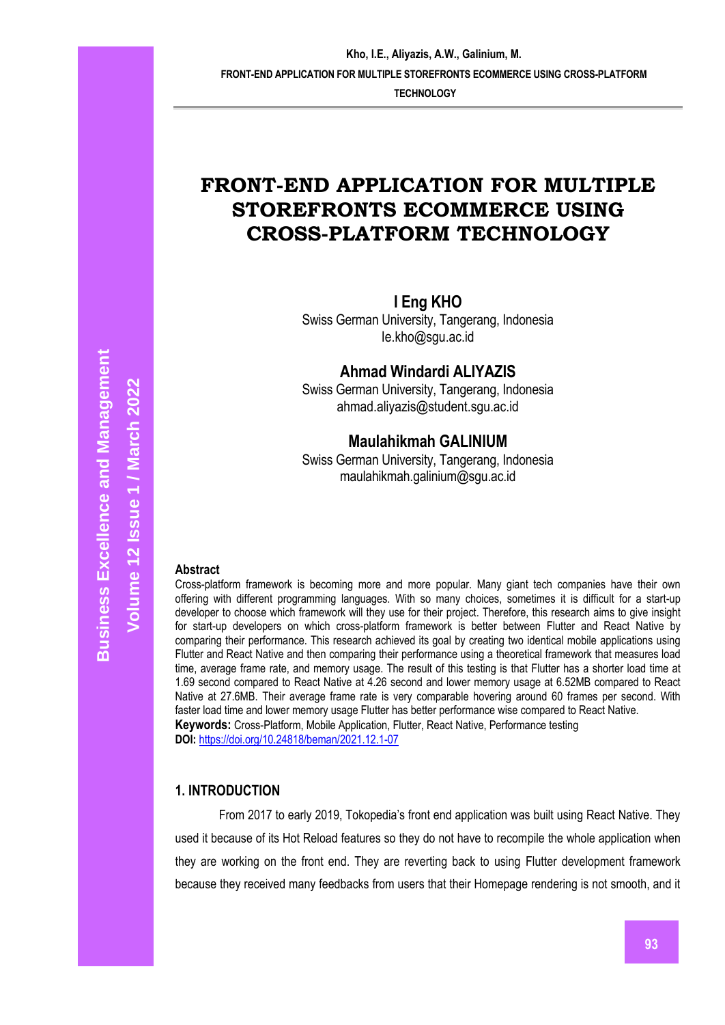**TECHNOLOGY**

# **FRONT-END APPLICATION FOR MULTIPLE STOREFRONTS ECOMMERCE USING CROSS-PLATFORM TECHNOLOGY**

**I Eng KHO**

Swiss German University, Tangerang, Indonesia [Ie.kho@sgu.ac.id](mailto:Ie.kho@sgu.ac.id)

**Ahmad Windardi ALIYAZIS**

Swiss German University, Tangerang, Indonesia [ahmad.aliyazis@student.sgu.ac.id](mailto:ahmad.aliyazis@student.sgu.ac.id)

# **Maulahikmah GALINIUM**

Swiss German University, Tangerang, Indonesia maulahikmah.galinium@sgu.ac.id

#### **Abstract**

Cross-platform framework is becoming more and more popular. Many giant tech companies have their own offering with different programming languages. With so many choices, sometimes it is difficult for a start-up developer to choose which framework will they use for their project. Therefore, this research aims to give insight for start-up developers on which cross-platform framework is better between Flutter and React Native by comparing their performance. This research achieved its goal by creating two identical mobile applications using Flutter and React Native and then comparing their performance using a theoretical framework that measures load time, average frame rate, and memory usage. The result of this testing is that Flutter has a shorter load time at 1.69 second compared to React Native at 4.26 second and lower memory usage at 6.52MB compared to React Native at 27.6MB. Their average frame rate is very comparable hovering around 60 frames per second. With faster load time and lower memory usage Flutter has better performance wise compared to React Native. **Keywords:** Cross-Platform, Mobile Application, Flutter, React Native, Performance testing **DOI:** <https://doi.org/10.24818/beman/2021.12.1-07>

#### **1. INTRODUCTION**

From 2017 to early 2019, Tokopedia's front end application was built using React Native. They used it because of its Hot Reload features so they do not have to recompile the whole application when they are working on the front end. They are reverting back to using Flutter development framework because they received many feedbacks from users that their Homepage rendering is not smooth, and it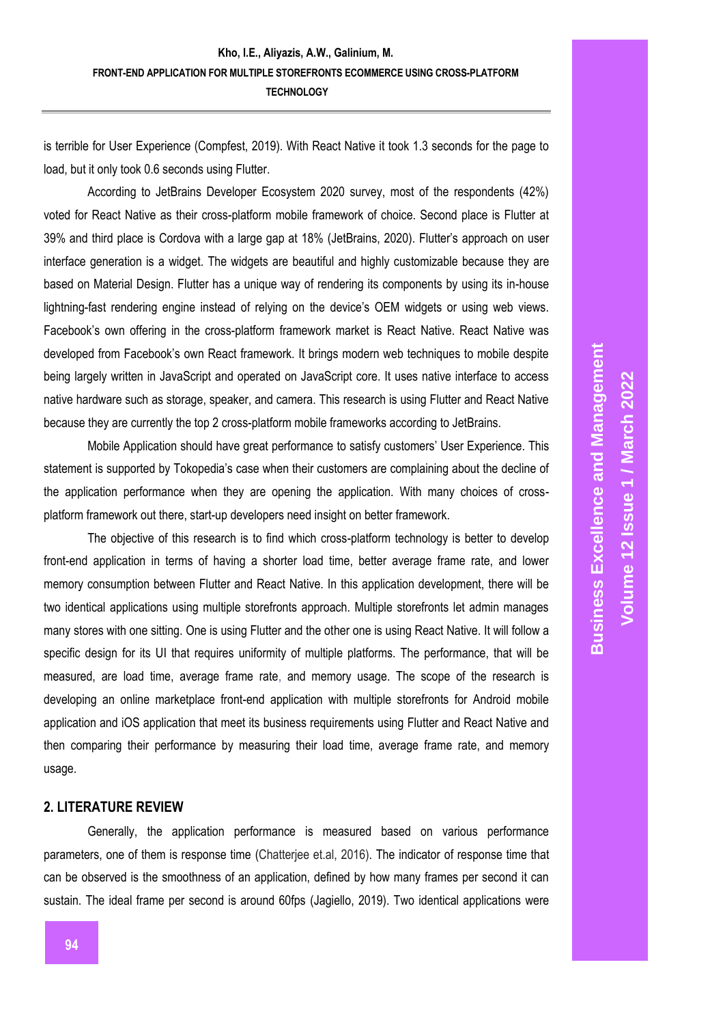is terrible for User Experience (Compfest, 2019). With React Native it took 1.3 seconds for the page to load, but it only took 0.6 seconds using Flutter.

According to JetBrains Developer Ecosystem 2020 survey, most of the respondents (42%) voted for React Native as their cross-platform mobile framework of choice. Second place is Flutter at 39% and third place is Cordova with a large gap at 18% (JetBrains, 2020). Flutter's approach on user interface generation is a widget. The widgets are beautiful and highly customizable because they are based on Material Design. Flutter has a unique way of rendering its components by using its in-house lightning-fast rendering engine instead of relying on the device's OEM widgets or using web views. Facebook's own offering in the cross-platform framework market is React Native. React Native was developed from Facebook's own React framework. It brings modern web techniques to mobile despite being largely written in JavaScript and operated on JavaScript core. It uses native interface to access native hardware such as storage, speaker, and camera. This research is using Flutter and React Native because they are currently the top 2 cross-platform mobile frameworks according to JetBrains.

Mobile Application should have great performance to satisfy customers' User Experience. This statement is supported by Tokopedia's case when their customers are complaining about the decline of the application performance when they are opening the application. With many choices of crossplatform framework out there, start-up developers need insight on better framework.

The objective of this research is to find which cross-platform technology is better to develop front-end application in terms of having a shorter load time, better average frame rate, and lower memory consumption between Flutter and React Native. In this application development, there will be two identical applications using multiple storefronts approach. Multiple storefronts let admin manages many stores with one sitting. One is using Flutter and the other one is using React Native. It will follow a specific design for its UI that requires uniformity of multiple platforms. The performance, that will be measured, are load time, average frame rate, and memory usage. The scope of the research is developing an online marketplace front-end application with multiple storefronts for Android mobile application and iOS application that meet its business requirements using Flutter and React Native and then comparing their performance by measuring their load time, average frame rate, and memory usage.

## **2. LITERATURE REVIEW**

Generally, the application performance is measured based on various performance parameters, one of them is response time (Chatterjee et.al, 2016). The indicator of response time that can be observed is the smoothness of an application, defined by how many frames per second it can sustain. The ideal frame per second is around 60fps (Jagiello, 2019). Two identical applications were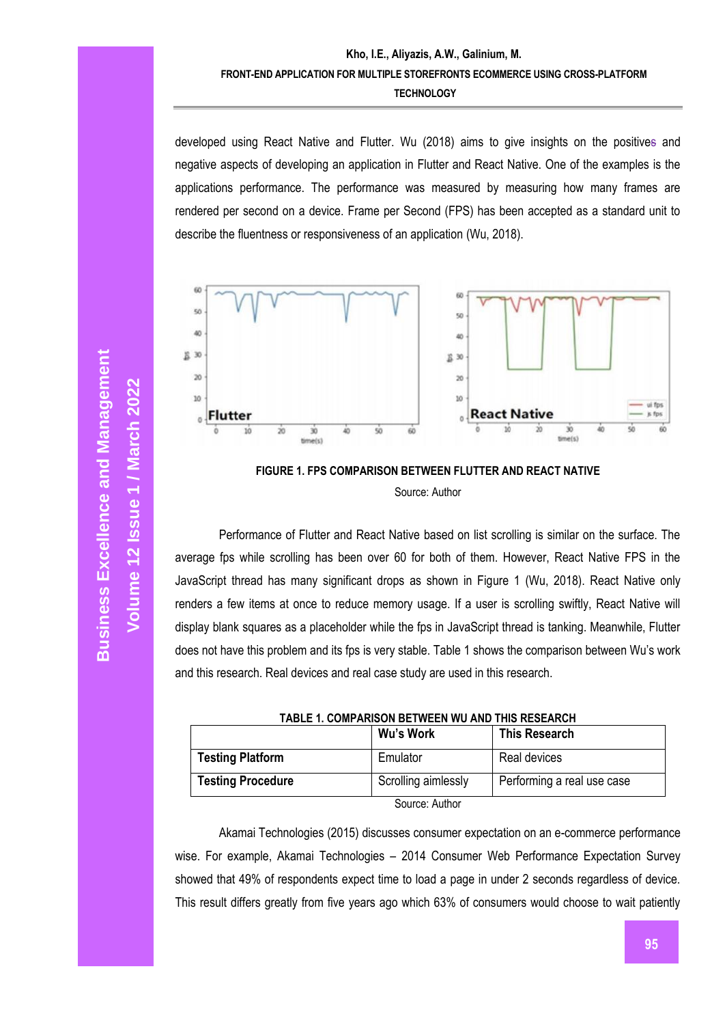developed using React Native and Flutter. Wu (2018) aims to give insights on the positives and negative aspects of developing an application in Flutter and React Native. One of the examples is the applications performance. The performance was measured by measuring how many frames are rendered per second on a device. Frame per Second (FPS) has been accepted as a standard unit to describe the fluentness or responsiveness of an application (Wu, 2018).





Performance of Flutter and React Native based on list scrolling is similar on the surface. The average fps while scrolling has been over 60 for both of them. However, React Native FPS in the JavaScript thread has many significant drops as shown in Figure 1 (Wu, 2018). React Native only renders a few items at once to reduce memory usage. If a user is scrolling swiftly, React Native will display blank squares as a placeholder while the fps in JavaScript thread is tanking. Meanwhile, Flutter does not have this problem and its fps is very stable. Table 1 shows the comparison between Wu's work and this research. Real devices and real case study are used in this research.

| TABLE 1. COMPARISON BETWEEN WU AND THIS RESEARCH |                     |                            |  |
|--------------------------------------------------|---------------------|----------------------------|--|
|                                                  | Wu's Work           | <b>This Research</b>       |  |
| <b>Testing Platform</b>                          | Emulator            | Real devices               |  |
| <b>Testing Procedure</b>                         | Scrolling aimlessly | Performing a real use case |  |
| Source: Author                                   |                     |                            |  |

Akamai Technologies (2015) discusses consumer expectation on an e-commerce performance wise. For example, Akamai Technologies – 2014 Consumer Web Performance Expectation Survey showed that 49% of respondents expect time to load a page in under 2 seconds regardless of device. This result differs greatly from five years ago which 63% of consumers would choose to wait patiently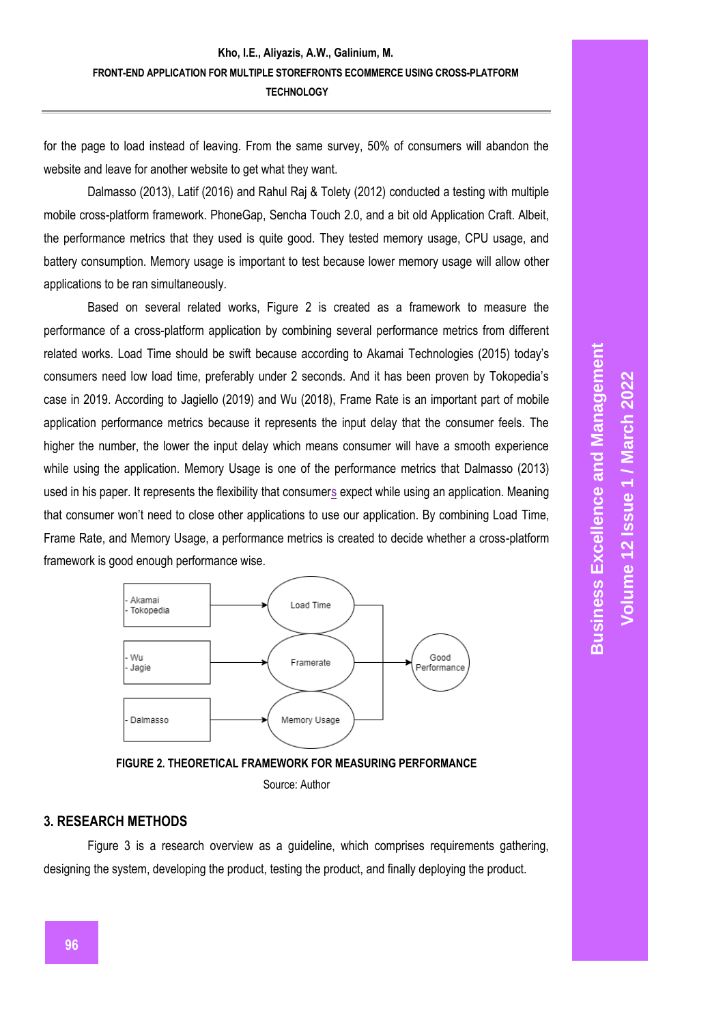for the page to load instead of leaving. From the same survey, 50% of consumers will abandon the website and leave for another website to get what they want.

Dalmasso (2013), Latif (2016) and Rahul Raj & Tolety (2012) conducted a testing with multiple mobile cross-platform framework. PhoneGap, Sencha Touch 2.0, and a bit old Application Craft. Albeit, the performance metrics that they used is quite good. They tested memory usage, CPU usage, and battery consumption. Memory usage is important to test because lower memory usage will allow other applications to be ran simultaneously.

Based on several related works, Figure 2 is created as a framework to measure the performance of a cross-platform application by combining several performance metrics from different related works. Load Time should be swift because according to Akamai Technologies (2015) today's consumers need low load time, preferably under 2 seconds. And it has been proven by Tokopedia's case in 2019. According to Jagiello (2019) and Wu (2018), Frame Rate is an important part of mobile application performance metrics because it represents the input delay that the consumer feels. The higher the number, the lower the input delay which means consumer will have a smooth experience while using the application. Memory Usage is one of the performance metrics that Dalmasso (2013) used in his paper. It represents the flexibility that consumers expect while using an application. Meaning that consumer won't need to close other applications to use our application. By combining Load Time, Frame Rate, and Memory Usage, a performance metrics is created to decide whether a cross-platform framework is good enough performance wise.





Source: Author

# **3. RESEARCH METHODS**

Figure 3 is a research overview as a guideline, which comprises requirements gathering, designing the system, developing the product, testing the product, and finally deploying the product.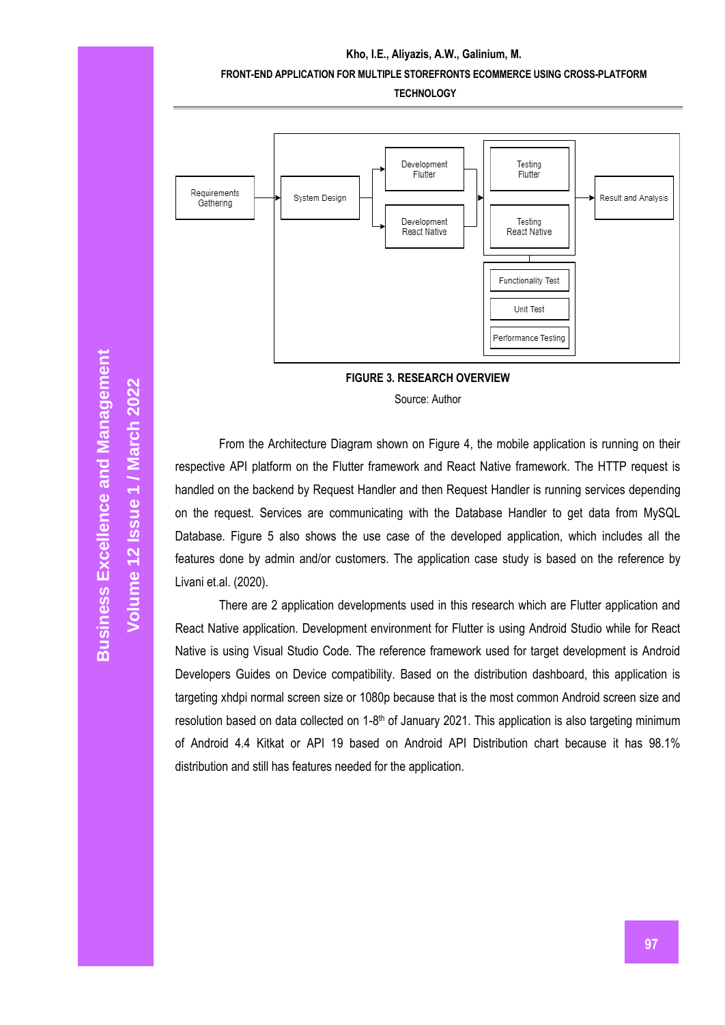#### **Kho, I.E., Aliyazis, A.W., Galinium, M.**

#### **FRONT-END APPLICATION FOR MULTIPLE STOREFRONTS ECOMMERCE USING CROSS-PLATFORM**

**TECHNOLOGY**



**FIGURE 3. RESEARCH OVERVIEW**

Source: Author

From the Architecture Diagram shown on Figure 4, the mobile application is running on their respective API platform on the Flutter framework and React Native framework. The HTTP request is handled on the backend by Request Handler and then Request Handler is running services depending on the request. Services are communicating with the Database Handler to get data from MySQL Database. Figure 5 also shows the use case of the developed application, which includes all the features done by admin and/or customers. The application case study is based on the reference by Livani et.al. (2020).

There are 2 application developments used in this research which are Flutter application and React Native application. Development environment for Flutter is using Android Studio while for React Native is using Visual Studio Code. The reference framework used for target development is Android Developers Guides on Device compatibility. Based on the distribution dashboard, this application is targeting xhdpi normal screen size or 1080p because that is the most common Android screen size and resolution based on data collected on 1-8<sup>th</sup> of January 2021. This application is also targeting minimum of Android 4.4 Kitkat or API 19 based on Android API Distribution chart because it has 98.1% distribution and still has features needed for the application.

**Volume 12 Issue 1 /** 

**Marc**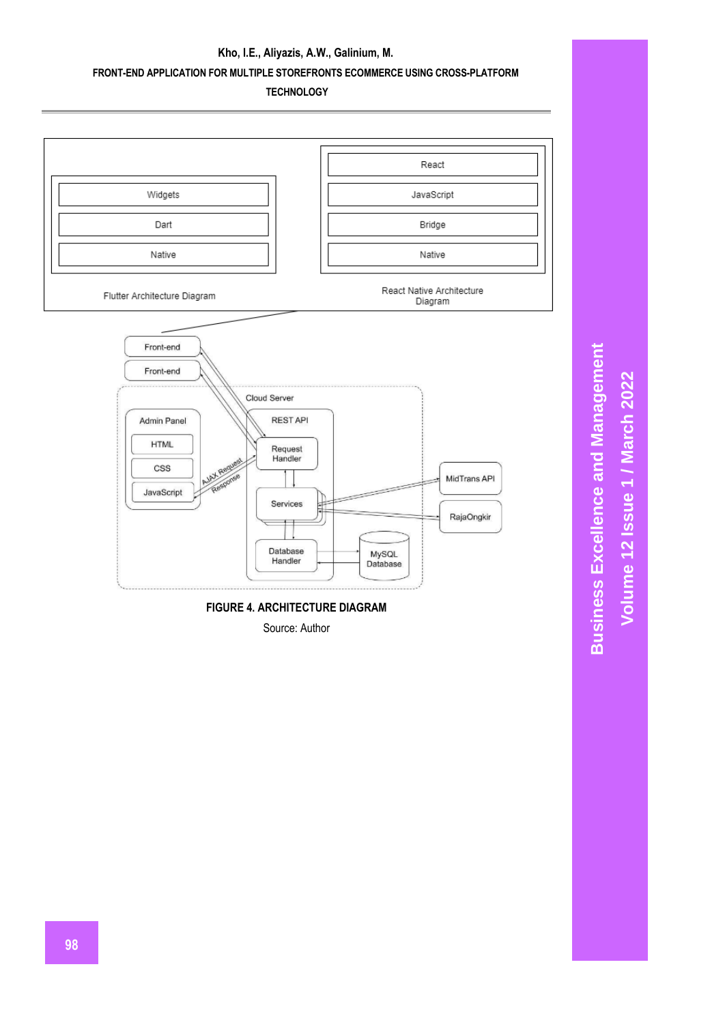**TECHNOLOGY**



**FIGURE 4. ARCHITECTURE DIAGRAM** 

Source: Author

**Business Excellence and Management Business Excellence and Management** Volume 12 Issue 1 / March 2022 **Volume 12 Issue 1 / March 2022**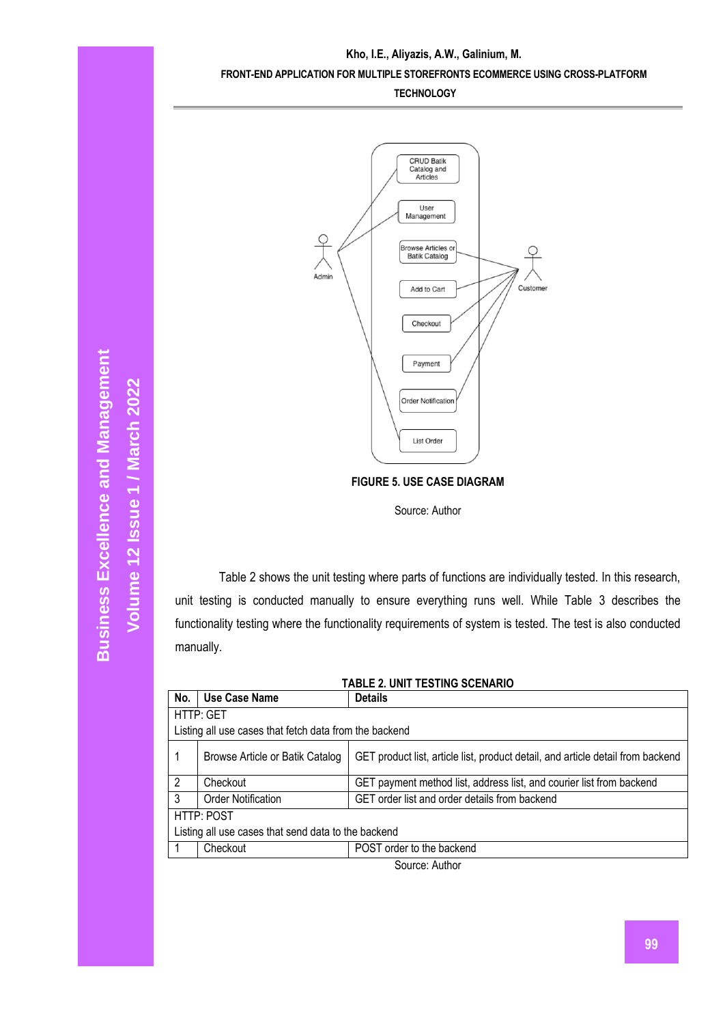

**FIGURE 5. USE CASE DIAGRAM**

Source: Author

Table 2 shows the unit testing where parts of functions are individually tested. In this research, unit testing is conducted manually to ensure everything runs well. While Table 3 describes the functionality testing where the functionality requirements of system is tested. The test is also conducted manually.

| <b>TABLE 2. UNIT TESTING SCENARIO</b>                  |                                 |                                                                                 |  |  |  |
|--------------------------------------------------------|---------------------------------|---------------------------------------------------------------------------------|--|--|--|
| No.                                                    | Use Case Name                   | <b>Details</b>                                                                  |  |  |  |
|                                                        | HTTP: GET                       |                                                                                 |  |  |  |
| Listing all use cases that fetch data from the backend |                                 |                                                                                 |  |  |  |
| 1                                                      | Browse Article or Batik Catalog | GET product list, article list, product detail, and article detail from backend |  |  |  |
| $\overline{2}$                                         | Checkout                        | GET payment method list, address list, and courier list from backend            |  |  |  |
| 3                                                      | <b>Order Notification</b>       | GET order list and order details from backend                                   |  |  |  |
| HTTP: POST                                             |                                 |                                                                                 |  |  |  |
| Listing all use cases that send data to the backend    |                                 |                                                                                 |  |  |  |
|                                                        | Checkout                        | POST order to the backend                                                       |  |  |  |
| $C_{\text{All}}$ $A_{\text{full}}$                     |                                 |                                                                                 |  |  |  |

Source: Author

**Marc**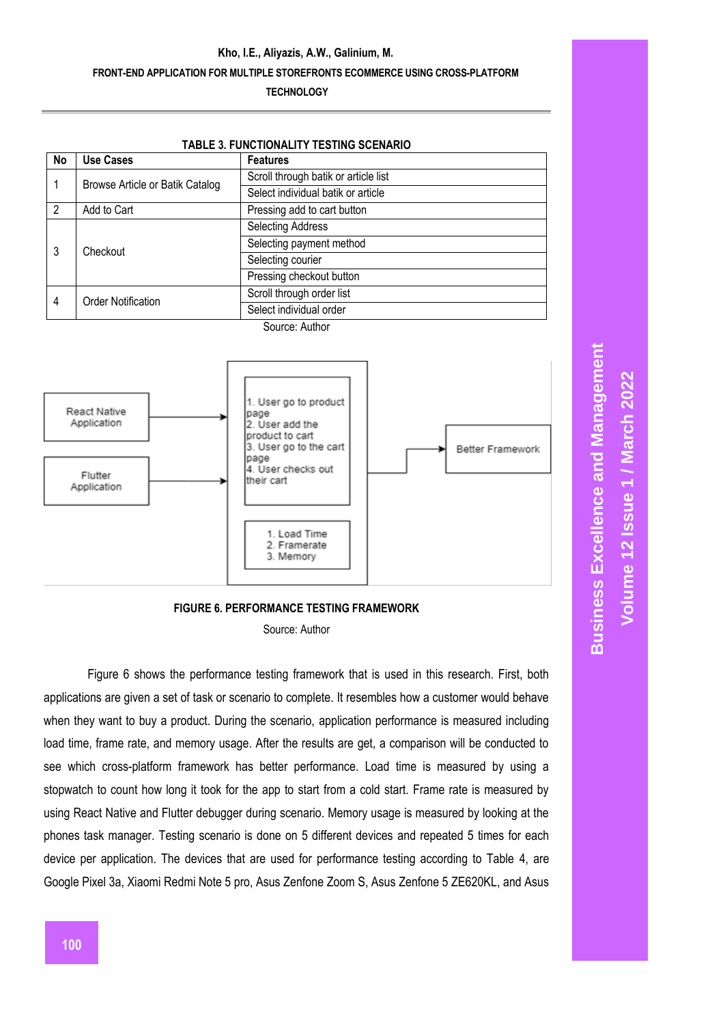|                                 | <b>TABLE 3. FUNCTIONALITY TESTING SCENARIO</b> |                             |  |  |
|---------------------------------|------------------------------------------------|-----------------------------|--|--|
| <b>No</b>                       | <b>Use Cases</b>                               | <b>Features</b>             |  |  |
| Browse Article or Batik Catalog | Scroll through batik or article list           |                             |  |  |
|                                 | Select individual batik or article             |                             |  |  |
| $\overline{2}$                  | Add to Cart                                    | Pressing add to cart button |  |  |
| 3<br>Checkout                   | <b>Selecting Address</b>                       |                             |  |  |
|                                 | Selecting payment method                       |                             |  |  |
|                                 | Selecting courier                              |                             |  |  |
|                                 | Pressing checkout button                       |                             |  |  |
| <b>Order Notification</b><br>4  | Scroll through order list                      |                             |  |  |
|                                 | Select individual order                        |                             |  |  |
|                                 |                                                | Source: Author              |  |  |



**FIGURE 6. PERFORMANCE TESTING FRAMEWORK**

Source: Author

Figure 6 shows the performance testing framework that is used in this research. First, both applications are given a set of task or scenario to complete. It resembles how a customer would behave when they want to buy a product. During the scenario, application performance is measured including load time, frame rate, and memory usage. After the results are get, a comparison will be conducted to see which cross-platform framework has better performance. Load time is measured by using a stopwatch to count how long it took for the app to start from a cold start. Frame rate is measured by using React Native and Flutter debugger during scenario. Memory usage is measured by looking at the phones task manager. Testing scenario is done on 5 different devices and repeated 5 times for each device per application. The devices that are used for performance testing according to Table 4, are Google Pixel 3a, Xiaomi Redmi Note 5 pro, Asus Zenfone Zoom S, Asus Zenfone 5 ZE620KL, and Asus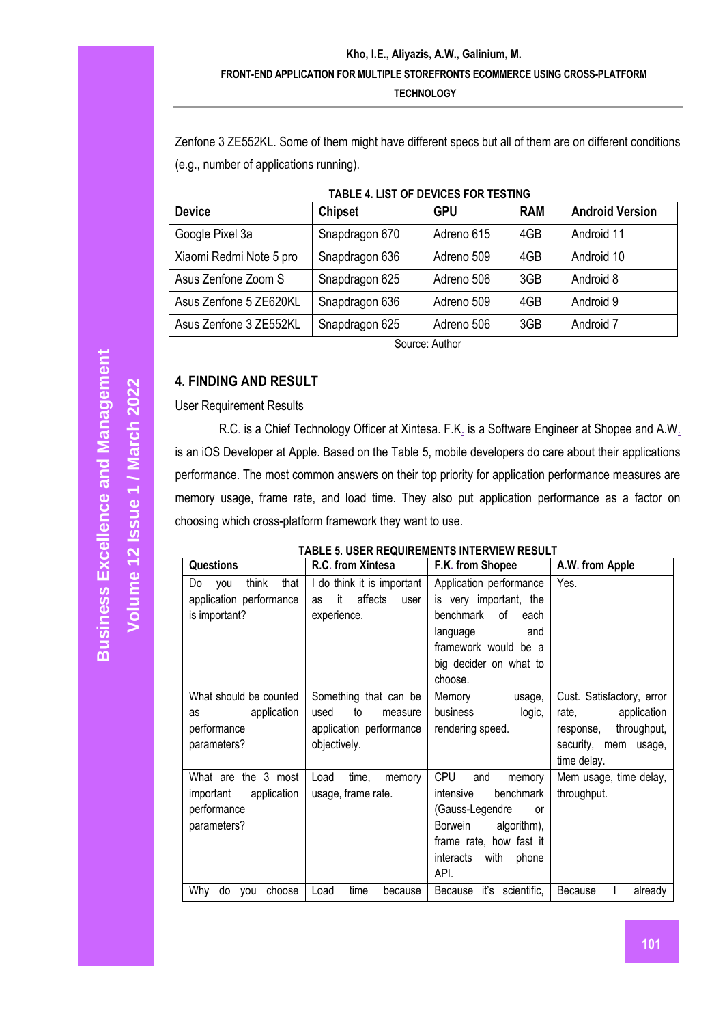Zenfone 3 ZE552KL. Some of them might have different specs but all of them are on different conditions (e.g., number of applications running).

| IADLL 4. LIOT OF DEVICED FOR TECHNO |                |            |            |                        |
|-------------------------------------|----------------|------------|------------|------------------------|
| <b>Device</b>                       | <b>Chipset</b> | <b>GPU</b> | <b>RAM</b> | <b>Android Version</b> |
| Google Pixel 3a                     | Snapdragon 670 | Adreno 615 | 4GB        | Android 11             |
| Xiaomi Redmi Note 5 pro             | Snapdragon 636 | Adreno 509 | 4GB        | Android 10             |
| Asus Zenfone Zoom S                 | Snapdragon 625 | Adreno 506 | 3GB        | Android 8              |
| Asus Zenfone 5 ZE620KL              | Snapdragon 636 | Adreno 509 | 4GB        | Android 9              |
| Asus Zenfone 3 ZE552KL              | Snapdragon 625 | Adreno 506 | 3GB        | Android 7              |
|                                     |                |            |            |                        |

### **TABLE 4. LIST OF DEVICES FOR TESTING**

Source: Author

# **4. FINDING AND RESULT**

User Requirement Results

R.C. is a Chief Technology Officer at Xintesa. F.K. is a Software Engineer at Shopee and A.W. is an iOS Developer at Apple. Based on the Table 5, mobile developers do care about their applications performance. The most common answers on their top priority for application performance measures are memory usage, frame rate, and load time. They also put application performance as a factor on choosing which cross-platform framework they want to use.

#### **TABLE 5. USER REQUIREMENTS INTERVIEW RESULT**

| <b>Questions</b>                                                              | R.C. from Xintesa                                                                         | F.K. from Shopee                                                                                                                                                                        | A.W. from Apple                                                                                                      |
|-------------------------------------------------------------------------------|-------------------------------------------------------------------------------------------|-----------------------------------------------------------------------------------------------------------------------------------------------------------------------------------------|----------------------------------------------------------------------------------------------------------------------|
| think<br>that<br>Do<br>you<br>application performance<br>is important?        | I do think it is important<br>affects<br>it<br>as<br>user<br>experience.                  | Application performance<br>is very important, the<br>benchmark<br>of<br>each<br>language<br>and<br>framework would be a<br>big decider on what to<br>choose.                            | Yes.                                                                                                                 |
| What should be counted<br>application<br>as<br>performance<br>parameters?     | Something that can be<br>used<br>to<br>measure<br>application performance<br>objectively. | Memory<br>usage,<br>business<br>logic,<br>rendering speed.                                                                                                                              | Cust. Satisfactory, error<br>rate,<br>application<br>throughput,<br>response,<br>security, mem usage,<br>time delay. |
| What are the 3 most<br>application<br>important<br>performance<br>parameters? | Load<br>time,<br>memory<br>usage, frame rate.                                             | <b>CPU</b><br>and<br>memory<br>benchmark<br>intensive<br>(Gauss-Legendre<br><b>or</b><br>algorithm),<br><b>Borwein</b><br>frame rate, how fast it<br>interacts<br>with<br>phone<br>API. | Mem usage, time delay,<br>throughput.                                                                                |
| Why<br>do you<br>choose                                                       | Load<br>time<br>because                                                                   | Because it's scientific,                                                                                                                                                                | Because<br>already                                                                                                   |

**Volume 12 Issue 1 /** 

**Marc**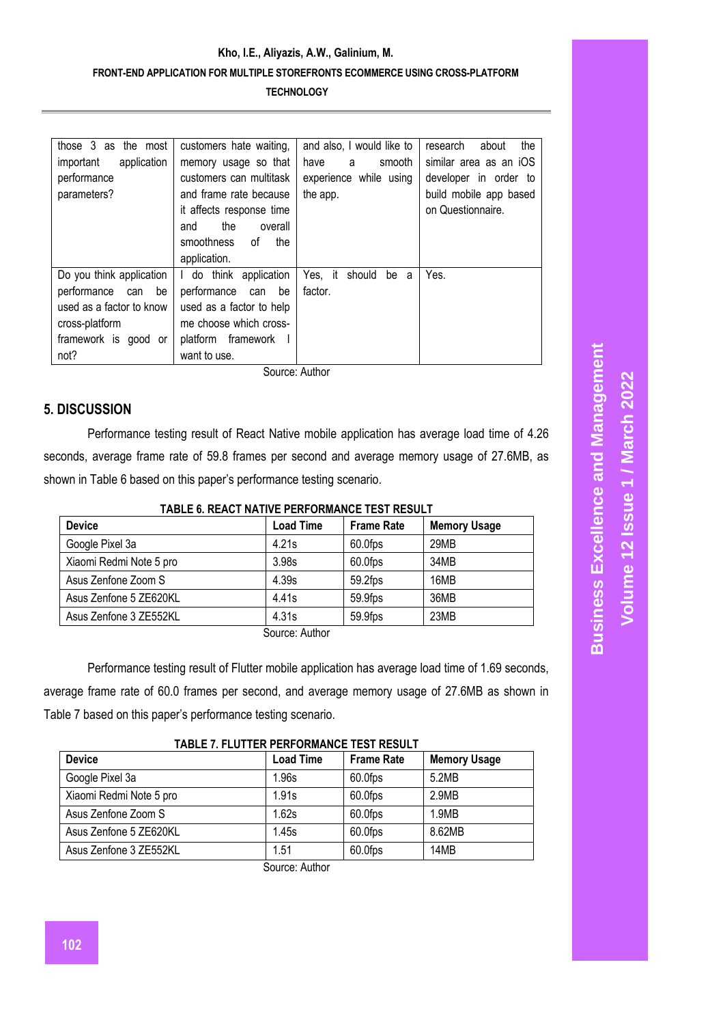| those 3 as the most<br>application<br>important<br>performance<br>parameters?                                                      | customers hate waiting.<br>memory usage so that<br>customers can multitask<br>and frame rate because<br>it affects response time<br>the<br>overall<br>and<br>smoothness<br>0f<br>the<br>application. | and also, I would like to<br>smooth<br>have<br>a<br>experience while using<br>the app. | the<br>research<br>about<br>similar area as an iOS<br>developer in order to<br>build mobile app based<br>on Questionnaire. |
|------------------------------------------------------------------------------------------------------------------------------------|------------------------------------------------------------------------------------------------------------------------------------------------------------------------------------------------------|----------------------------------------------------------------------------------------|----------------------------------------------------------------------------------------------------------------------------|
| Do you think application<br>performance<br>be<br>can<br>used as a factor to know<br>cross-platform<br>framework is good or<br>not? | I do think application<br>performance<br>can be<br>used as a factor to help<br>me choose which cross-<br>platform framework<br>want to use.                                                          | Yes, it should<br>be<br>a<br>factor.                                                   | Yes.                                                                                                                       |

Source: Author

# **5. DISCUSSION**

Performance testing result of React Native mobile application has average load time of 4.26 seconds, average frame rate of 59.8 frames per second and average memory usage of 27.6MB, as shown in Table 6 based on this paper's performance testing scenario.

## **TABLE 6. REACT NATIVE PERFORMANCE TEST RESULT**

| <b>Device</b>               | <b>Load Time</b> | <b>Frame Rate</b> | <b>Memory Usage</b> |  |
|-----------------------------|------------------|-------------------|---------------------|--|
| Google Pixel 3a             | 4.21s            | 60.0fps           | 29MB                |  |
| Xiaomi Redmi Note 5 pro     | 3.98s            | 60.0fps           | 34MB                |  |
| Asus Zenfone Zoom S         | 4.39s            | 59.2fps           | 16MB                |  |
| Asus Zenfone 5 ZE620KL      | 4.41s            | 59.9fps           | 36MB                |  |
| Asus Zenfone 3 ZE552KL      | 4.31s            | 59.9fps           | 23MB                |  |
| $\sim$ $\sim$ $\sim$ $\sim$ |                  |                   |                     |  |

Source: Author

Performance testing result of Flutter mobile application has average load time of 1.69 seconds, average frame rate of 60.0 frames per second, and average memory usage of 27.6MB as shown in Table 7 based on this paper's performance testing scenario.

#### **TABLE 7. FLUTTER PERFORMANCE TEST RESULT**

| <b>Load Time</b> | <b>Frame Rate</b> | <b>Memory Usage</b> |
|------------------|-------------------|---------------------|
| 1.96s            | 60.0fps           | 5.2MB               |
| 1.91s            | 60.0fps           | 2.9MB               |
| 1.62s            | 60.0fps           | 1.9MB               |
| 1.45s            | 60.0fps           | 8.62MB              |
| 1.51             | 60.0fps           | 14MB                |
|                  |                   |                     |

Source: Author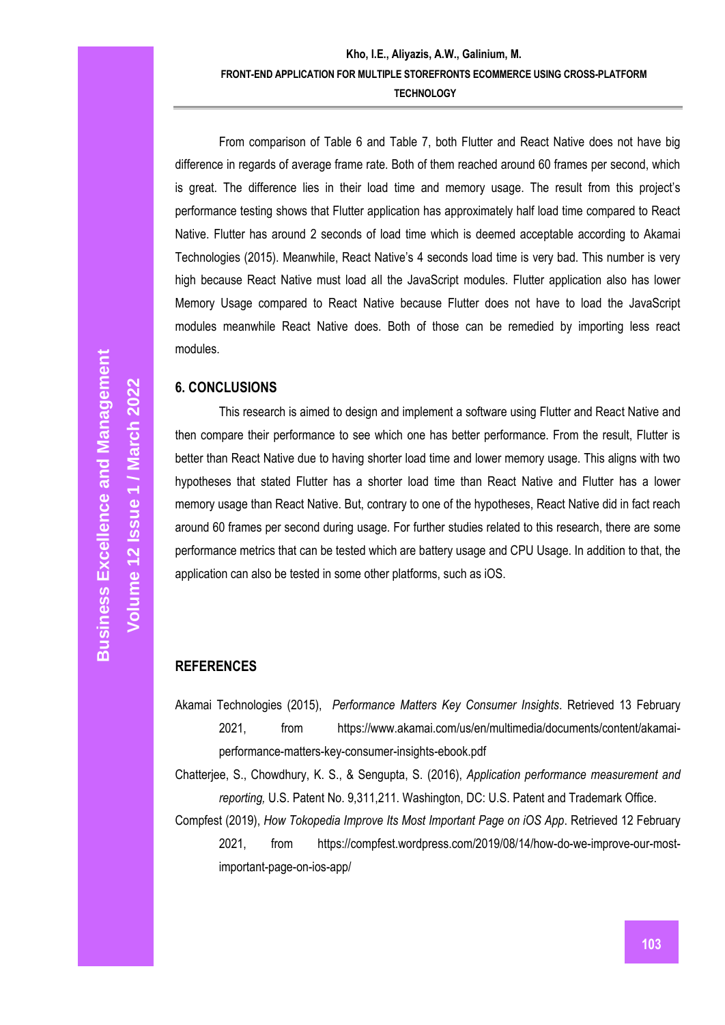From comparison of Table 6 and Table 7, both Flutter and React Native does not have big difference in regards of average frame rate. Both of them reached around 60 frames per second, which is great. The difference lies in their load time and memory usage. The result from this project's performance testing shows that Flutter application has approximately half load time compared to React Native. Flutter has around 2 seconds of load time which is deemed acceptable according to Akamai Technologies (2015). Meanwhile, React Native's 4 seconds load time is very bad. This number is very high because React Native must load all the JavaScript modules. Flutter application also has lower Memory Usage compared to React Native because Flutter does not have to load the JavaScript modules meanwhile React Native does. Both of those can be remedied by importing less react modules.

## **6. CONCLUSIONS**

This research is aimed to design and implement a software using Flutter and React Native and then compare their performance to see which one has better performance. From the result, Flutter is better than React Native due to having shorter load time and lower memory usage. This aligns with two hypotheses that stated Flutter has a shorter load time than React Native and Flutter has a lower memory usage than React Native. But, contrary to one of the hypotheses, React Native did in fact reach around 60 frames per second during usage. For further studies related to this research, there are some performance metrics that can be tested which are battery usage and CPU Usage. In addition to that, the application can also be tested in some other platforms, such as iOS.

# **REFERENCES**

Akamai Technologies (2015), *Performance Matters Key Consumer Insights*. Retrieved 13 February 2021, from https://www.akamai.com/us/en/multimedia/documents/content/akamaiperformance-matters-key-consumer-insights-ebook.pdf

Chatterjee, S., Chowdhury, K. S., & Sengupta, S. (2016), *Application performance measurement and reporting,* U.S. Patent No. 9,311,211. Washington, DC: U.S. Patent and Trademark Office.

Compfest (2019), *How Tokopedia Improve Its Most Important Page on iOS App*. Retrieved 12 February 2021, from [https://compfest.wordpress.com/2019/08/14/how-do-we-improve-our-most](https://compfest.wordpress.com/2019/08/14/how-do-we-improve-our-most-important-page-on-ios-app/)[important-page-on-ios-app/](https://compfest.wordpress.com/2019/08/14/how-do-we-improve-our-most-important-page-on-ios-app/)

**Volume 12 Issue 1 /** 

**Marc**